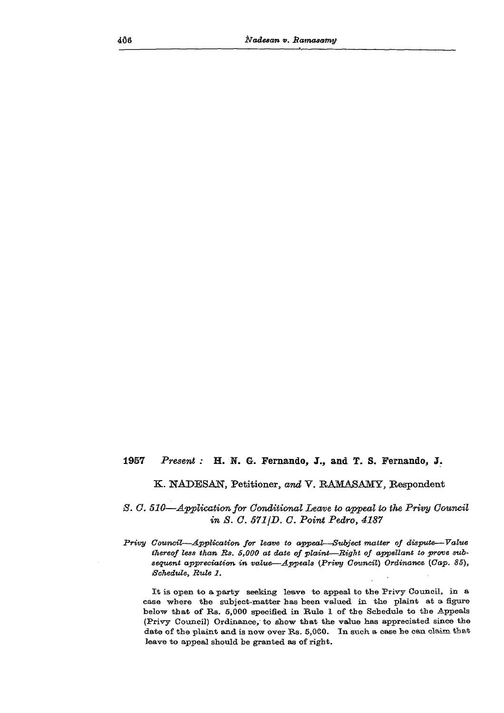## **1957** *Present :* **H. K. G. Fernando, J., and T. S. Fernando, J.**

## **K. NADESAN, Petitioner,** *and* **V. BAMASAMY, Respondent**

## *3. G. 510—Application for Conditional Leave to appeal to the Privy Council in 8. C. 571 jD. C. Point Pedro, 4187*

*Privy Council—Application for leave to appeal—Subject matter of dispute—Value thereof less than Bs. 5,000 at date of plaint—Bight of appellant to prove subsequent appreciation in value—Appeals (Privy Council) Ordinance (Cap. 85), Schedule, Bute 1.* 

It is open to a party seeking leave to appeal to the Privy Council, in a case where the subject-matter has been valued in the plaint at a figure below that of Bs. 5,000 specified in Rule 1 of the Schedule to the Appeals (Privy Council) Ordinance, to show that the value has appreciated since the date of the plaint and is now over Rs. 5,060. In such a case he can claim that leave to appeal should be granted as of right.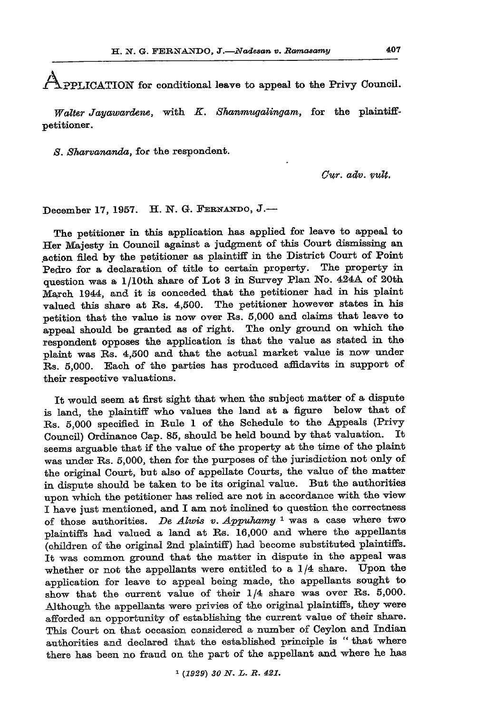**APPLICATION** for conditional leave to appeal to the Privy Council.

*Walter Jayawardene,* **with** *K. Shanrmtgalingam,* **for the plaintiffpetitioner.** 

*S. Sharvananda,* **for the respondent.** 

*Ow. adv. vult,* 

**December 17, 1957. H. N. G. FERNANDO, J.—** 

**The petitioner in this application has applied for leave to appeal to Her Majesty in Council against a judgment of this Court dismissing an action filed by the petitioner as plaintiff in the District Court of Point Pedro for a declaration of title to certain property. The property in question was a 1 /10th share of Lot 3 in Survey Plan No. 424A of 20th March 1944, and it is conceded that the petitioner had in his plaint valued this share at Rs. 4,500. The petitioner however states in his petition that the value is now over Rs. 5,000 and claims that leave to appeal should be granted as of right. The only ground on which the respondent opposes the application is that the value as stated in the plaint was Rs. 4,500 and that the actual market value is now under Rs. 5,000. Each of the parties has produced affidavits in support of their respective valuations.** 

**It would seem at first sight that when the subject matter of a dispute is land, the plaintiff who values the land at a figure below that of Rs. 5,000 specified in Rule 1 of the Schedule to the Appeals (Privy Council) Ordinance Cap. 85, should be held bound by that valuation. It seems arguable that if the value of the property at the time of the plaint**  was under Rs. 5,000, then for the purposes of the jurisdiction not only of **the original Court, but also of appellate Courts, the value of the matter in dispute should be taken to be its original value. Rut the authorities upon which the petitioner has relied are not in accordance with the view I have just mentioned, and I am not inclined to question the correctness of those authorities.** *De Alwis v. Appuhamy* **1 was a case where two plaintiffs had valued a land at Rs. 16,000 and where the appellants (children of the original 2nd plaintiff) had become substituted plaintiffs. It was common ground that the matter in dispute in the appeal was**  whether or not the appellants were entitled to a  $1/4$  share. Upon the **application for leave to appeal being made, the appellants sought to**  show that the current value of their  $1/4$  share was over Rs. 5,000. **Although the appellants were privies of the original plaintiffs, they were afforded an opportunity of establishing the current value of their share. This Court on that occasion considered a number of Ceylon and Indian authorities and declared that the established principle is " that where there has been no fraud on the part of the appellant and where he has**